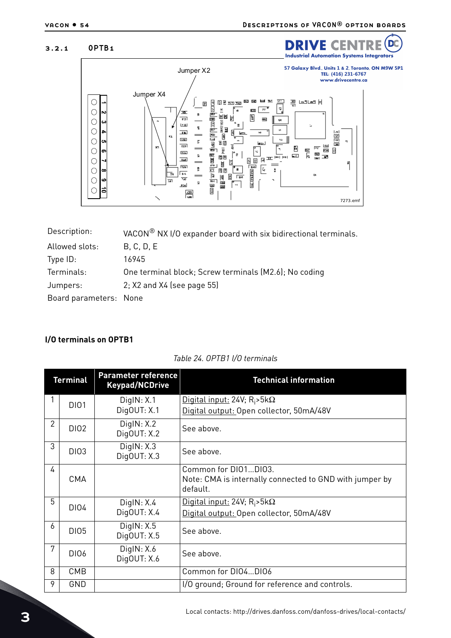D

## 3.2.1 OPTB1



| Description:           | VACON <sup>®</sup> NX I/O expander board with six bidirectional terminals. |
|------------------------|----------------------------------------------------------------------------|
| Allowed slots:         | B, C, D, E                                                                 |
| Type ID:               | 16945                                                                      |
| Terminals:             | One terminal block; Screw terminals (M2.6); No coding                      |
| Jumpers:               | $2; X2$ and $X4$ (see page 55)                                             |
| Board parameters: None |                                                                            |
|                        |                                                                            |

## **I/O terminals on OPTB1**

|  |  | Table 24. OPTB1 I/O terminals |
|--|--|-------------------------------|
|--|--|-------------------------------|

| <b>Terminal</b> |             | <b>Parameter reference</b><br><b>Keypad/NCDrive</b> | <b>Technical information</b>                                                                |
|-----------------|-------------|-----------------------------------------------------|---------------------------------------------------------------------------------------------|
|                 | <b>DI01</b> | DigitN: X.1                                         | Digital input: 24V; $R_i$ >5k $\Omega$                                                      |
|                 |             | DigOUT: X.1                                         | Digital output: Open collector, 50mA/48V                                                    |
| $\overline{2}$  | <b>DI02</b> | DigitN: X.2<br>DigOUT: X.2                          | See above.                                                                                  |
| 3               | <b>DI03</b> | Digit(N: X.3)<br>DigOUT: X.3                        | See above.                                                                                  |
| 4               | <b>CMA</b>  |                                                     | Common for DI01DI03.<br>Note: CMA is internally connected to GND with jumper by<br>default. |
| 5               | <b>DI04</b> | Digit(N: X.4)                                       | <u>Digital input:</u> 24V; R <sub>i</sub> >5k $\Omega$                                      |
|                 |             | DigOUT: X.4                                         | Digital output: Open collector, 50mA/48V                                                    |
| 6               | <b>DI05</b> | DigitN: X.5<br>DigOUT: X.5                          | See above.                                                                                  |
| 7               | DI06        | Digit(N: X.6)<br>DigOUT: X.6                        | See above.                                                                                  |
| 8               | CMB         |                                                     | Common for DI04DI06                                                                         |
| 9               | GND         |                                                     | I/O ground; Ground for reference and controls.                                              |

e de la construcción de la construcción de la construcción de la construcción de la construcción de la construcción de la construcción de la construcción de la construcción de la construcción de la construcción de la const